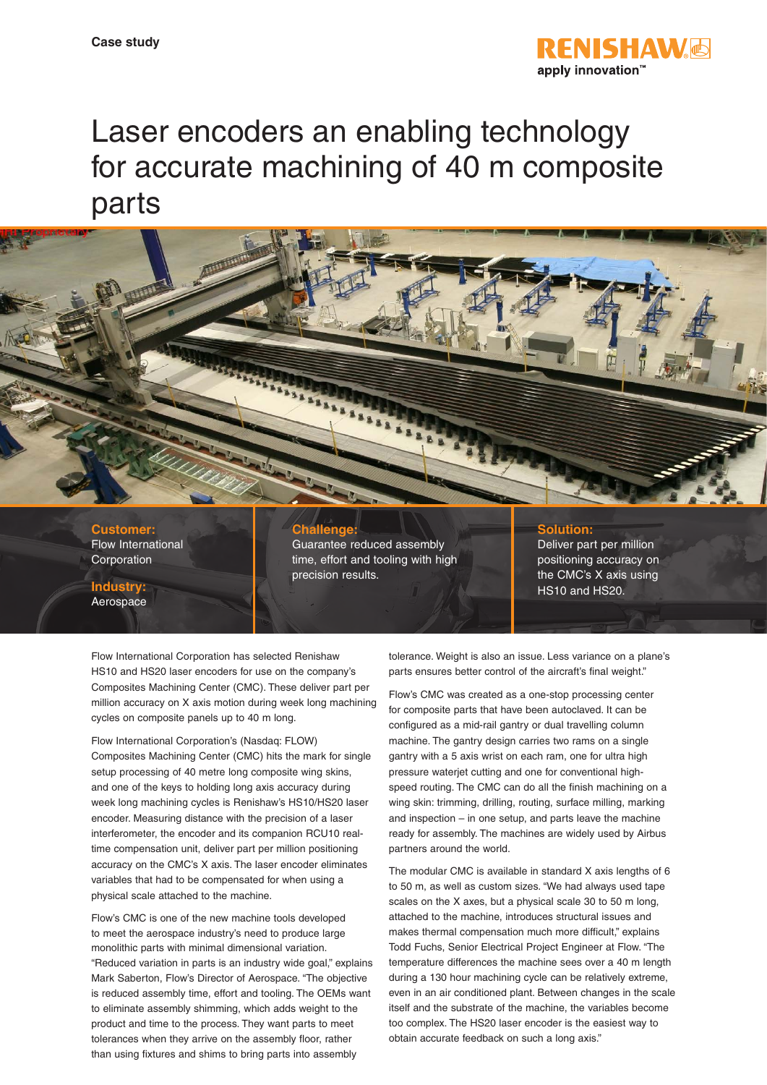

# Laser encoders an enabling technology for accurate machining of 40 m composite parts



**Customer:** Flow International Corporation

**Industry:** Aerospace

# **Challenge:**

Guarantee reduced assembly time, effort and tooling with high precision results.

## **Solution:**

Deliver part per million positioning accuracy on the CMC's X axis using HS10 and HS20.

Flow International Corporation has selected Renishaw HS10 and HS20 laser encoders for use on the company's Composites Machining Center (CMC). These deliver part per million accuracy on X axis motion during week long machining cycles on composite panels up to 40 m long.

Flow International Corporation's (Nasdaq: FLOW) Composites Machining Center (CMC) hits the mark for single setup processing of 40 metre long composite wing skins, and one of the keys to holding long axis accuracy during week long machining cycles is Renishaw's HS10/HS20 laser encoder. Measuring distance with the precision of a laser interferometer, the encoder and its companion RCU10 realtime compensation unit, deliver part per million positioning accuracy on the CMC's X axis. The laser encoder eliminates variables that had to be compensated for when using a physical scale attached to the machine.

Flow's CMC is one of the new machine tools developed to meet the aerospace industry's need to produce large monolithic parts with minimal dimensional variation. "Reduced variation in parts is an industry wide goal," explains Mark Saberton, Flow's Director of Aerospace. "The objective is reduced assembly time, effort and tooling. The OEMs want to eliminate assembly shimming, which adds weight to the product and time to the process. They want parts to meet tolerances when they arrive on the assembly floor, rather than using fixtures and shims to bring parts into assembly

tolerance. Weight is also an issue. Less variance on a plane's parts ensures better control of the aircraft's final weight."

Flow's CMC was created as a one-stop processing center for composite parts that have been autoclaved. It can be configured as a mid-rail gantry or dual travelling column machine. The gantry design carries two rams on a single gantry with a 5 axis wrist on each ram, one for ultra high pressure waterjet cutting and one for conventional highspeed routing. The CMC can do all the finish machining on a wing skin: trimming, drilling, routing, surface milling, marking and inspection – in one setup, and parts leave the machine ready for assembly. The machines are widely used by Airbus partners around the world.

The modular CMC is available in standard X axis lengths of 6 to 50 m, as well as custom sizes. "We had always used tape scales on the X axes, but a physical scale 30 to 50 m long, attached to the machine, introduces structural issues and makes thermal compensation much more difficult," explains Todd Fuchs, Senior Electrical Project Engineer at Flow. "The temperature differences the machine sees over a 40 m length during a 130 hour machining cycle can be relatively extreme, even in an air conditioned plant. Between changes in the scale itself and the substrate of the machine, the variables become too complex. The HS20 laser encoder is the easiest way to obtain accurate feedback on such a long axis."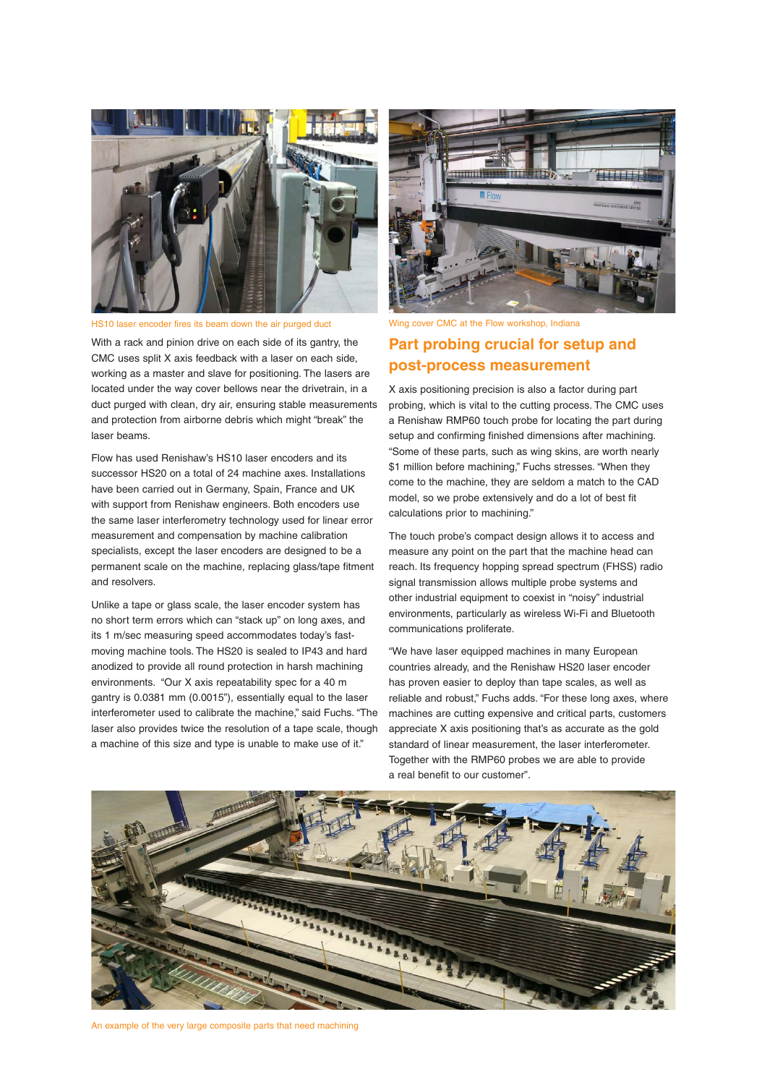

HS10 laser encoder fires its beam down the air purged duct

With a rack and pinion drive on each side of its gantry, the CMC uses split X axis feedback with a laser on each side, working as a master and slave for positioning. The lasers are located under the way cover bellows near the drivetrain, in a duct purged with clean, dry air, ensuring stable measurements and protection from airborne debris which might "break" the laser beams.

Flow has used Renishaw's HS10 laser encoders and its successor HS20 on a total of 24 machine axes. Installations have been carried out in Germany, Spain, France and UK with support from Renishaw engineers. Both encoders use the same laser interferometry technology used for linear error measurement and compensation by machine calibration specialists, except the laser encoders are designed to be a permanent scale on the machine, replacing glass/tape fitment and resolvers.

Unlike a tape or glass scale, the laser encoder system has no short term errors which can "stack up" on long axes, and its 1 m/sec measuring speed accommodates today's fastmoving machine tools. The HS20 is sealed to IP43 and hard anodized to provide all round protection in harsh machining environments. "Our X axis repeatability spec for a 40 m gantry is 0.0381 mm (0.0015"), essentially equal to the laser interferometer used to calibrate the machine," said Fuchs. "The laser also provides twice the resolution of a tape scale, though a machine of this size and type is unable to make use of it."



Wing cover CMC at the Flow workshop, Indiana

# **Part probing crucial for setup and post-process measurement**

X axis positioning precision is also a factor during part probing, which is vital to the cutting process. The CMC uses a Renishaw RMP60 touch probe for locating the part during setup and confirming finished dimensions after machining. "Some of these parts, such as wing skins, are worth nearly \$1 million before machining," Fuchs stresses. "When they come to the machine, they are seldom a match to the CAD model, so we probe extensively and do a lot of best fit calculations prior to machining."

The touch probe's compact design allows it to access and measure any point on the part that the machine head can reach. Its frequency hopping spread spectrum (FHSS) radio signal transmission allows multiple probe systems and other industrial equipment to coexist in "noisy" industrial environments, particularly as wireless Wi-Fi and Bluetooth communications proliferate.

"We have laser equipped machines in many European countries already, and the Renishaw HS20 laser encoder has proven easier to deploy than tape scales, as well as reliable and robust," Fuchs adds. "For these long axes, where machines are cutting expensive and critical parts, customers appreciate X axis positioning that's as accurate as the gold standard of linear measurement, the laser interferometer. Together with the RMP60 probes we are able to provide a real benefit to our customer".



An example of the very large composite parts that need machining